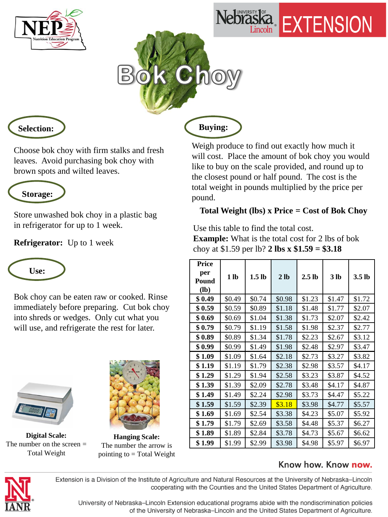





**Selection:**

Choose bok choy with firm stalks and fresh leaves. Avoid purchasing bok choy with brown spots and wilted leaves.



Store unwashed bok choy in a plastic bag in refrigerator for up to 1 week.

**Refrigerator:** Up to 1 week



Bok choy can be eaten raw or cooked. Rinse immediately before preparing. Cut bok choy into shreds or wedges. Only cut what you will use, and refrigerate the rest for later.



**Digital Scale:**  The number on the screen = Total Weight



**Hanging Scale:**  The number the arrow is pointing to  $=$  Total Weight

 **Buying:**

Weigh produce to find out exactly how much it will cost. Place the amount of bok choy you would like to buy on the scale provided, and round up to the closest pound or half pound. The cost is the total weight in pounds multiplied by the price per pound.

## **Total Weight (lbs) x Price = Cost of Bok Choy**

Use this table to find the total cost. **Example:** What is the total cost for 2 lbs of bok choy at \$1.59 per lb? **2 lbs x \$1.59 = \$3.18** 

| Price<br>per<br>Pound<br>$(lb)$ | 1 <sub>lb</sub> | 1.5 <sub>lb</sub> | 2 <sub>1b</sub> | 2.5 <sub>lb</sub> | 3 <sub>lb</sub> | 3.5 <sub>lb</sub> |
|---------------------------------|-----------------|-------------------|-----------------|-------------------|-----------------|-------------------|
| \$0.49                          | \$0.49          | \$0.74            | \$0.98          | \$1.23            | \$1.47          | \$1.72            |
| \$0.59                          | \$0.59          | \$0.89            | \$1.18          | \$1.48            | \$1.77          | \$2.07            |
| \$0.69                          | \$0.69          | \$1.04            | \$1.38          | \$1.73            | \$2.07          | \$2.42            |
| \$0.79                          | \$0.79          | \$1.19            | \$1.58          | \$1.98            | \$2.37          | \$2.77            |
| \$ 0.89                         | \$0.89          | \$1.34            | \$1.78          | \$2.23            | \$2.67          | \$3.12            |
| \$0.99                          | \$0.99          | \$1.49            | \$1.98          | \$2.48            | \$2.97          | \$3.47            |
| \$1.09                          | \$1.09          | \$1.64            | \$2.18          | \$2.73            | \$3.27          | \$3.82            |
| \$1.19                          | \$1.19          | \$1.79            | \$2.38          | \$2.98            | \$3.57          | \$4.17            |
| \$1.29                          | \$1.29          | \$1.94            | \$2.58          | \$3.23            | \$3.87          | \$4.52            |
| \$1.39                          | \$1.39          | \$2.09            | \$2.78          | \$3.48            | \$4.17          | \$4.87            |
| \$1.49                          | \$1.49          | \$2.24            | \$2.98          | \$3.73            | \$4.47          | \$5.22            |
| \$1.59                          | \$1.59          | \$2.39            | \$3.18          | \$3.98            | \$4.77          | \$5.57            |
| \$1.69                          | \$1.69          | \$2.54            | \$3.38          | \$4.23            | \$5.07          | \$5.92            |
| \$1.79                          | \$1.79          | \$2.69            | \$3.58          | \$4.48            | \$5.37          | \$6.27            |
| \$1.89                          | \$1.89          | \$2.84            | \$3.78          | \$4.73            | \$5.67          | \$6.62            |
| \$1.99                          | \$1.99          | \$2.99            | \$3.98          | \$4.98            | \$5.97          | \$6.97            |

## Know how. Know now.



Extension is a Division of the Institute of Agriculture and Natural Resources at the University of Nebraska-Lincoln cooperating with the Counties and the United States Department of Agriculture.

University of Nebraska-Lincoln Extension educational programs abide with the nondiscrimination policies of the University of Nebraska-Lincoln and the United States Department of Agriculture.